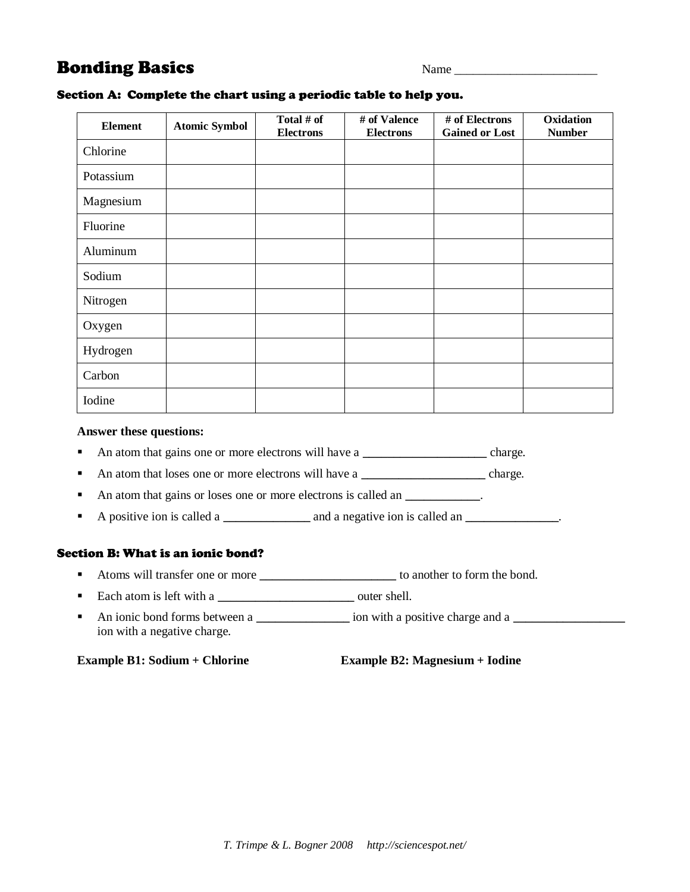## **Bonding Basics** Name Name Name 2014

| <b>Element</b> | <b>Atomic Symbol</b> | Total # of<br><b>Electrons</b> | # of Valence<br><b>Electrons</b> | # of Electrons<br><b>Gained or Lost</b> | Oxidation<br><b>Number</b> |
|----------------|----------------------|--------------------------------|----------------------------------|-----------------------------------------|----------------------------|
| Chlorine       |                      |                                |                                  |                                         |                            |
| Potassium      |                      |                                |                                  |                                         |                            |
| Magnesium      |                      |                                |                                  |                                         |                            |
| Fluorine       |                      |                                |                                  |                                         |                            |
| Aluminum       |                      |                                |                                  |                                         |                            |
| Sodium         |                      |                                |                                  |                                         |                            |
| Nitrogen       |                      |                                |                                  |                                         |                            |
| Oxygen         |                      |                                |                                  |                                         |                            |
| Hydrogen       |                      |                                |                                  |                                         |                            |
| Carbon         |                      |                                |                                  |                                         |                            |
| Iodine         |                      |                                |                                  |                                         |                            |

## Section A: Complete the chart using a periodic table to help you.

## **Answer these questions:**

- An atom that gains one or more electrons will have a **\_\_\_\_\_\_\_\_\_\_\_\_\_\_** charge.
- An atom that loses one or more electrons will have a **\_\_\_\_\_\_\_\_\_\_\_\_\_\_** charge.
- An atom that gains or loses one or more electrons is called an **\_\_\_\_\_\_\_\_\_**.
- A positive ion is called a **a a** a negative ion is called an **a**

## Section B: What is an ionic bond?

- Atoms will transfer one or more **\_\_\_\_\_\_\_\_\_\_\_\_\_\_\_\_\_\_\_\_\_\_\_\_\_** to another to form the bond.
- Each atom is left with a **\_\_\_\_\_\_\_\_\_\_\_\_\_\_\_\_\_\_\_\_\_\_** outer shell.
- An ionic bond forms between a **\_\_\_\_\_\_\_\_\_\_\_\_\_\_\_** ion with a positive charge and a **\_\_\_\_\_\_\_\_\_\_\_\_\_\_\_\_\_\_** ion with a negative charge.

**Example B1: Sodium + Chlorine Example B2: Magnesium + Iodine**